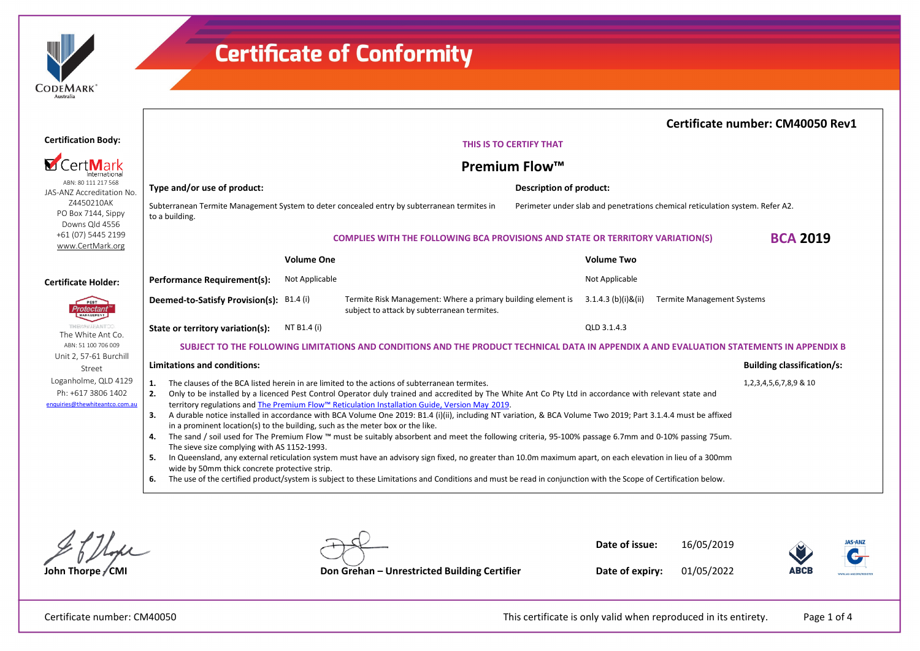

|                                                                              |                                                                                                                                                                                                                                                                                                                                                                                                                      |                                                                                                                                                                                                                                                                                                                                                                                                                                                                                                                                                                                                                                                                                                                                                                                                                 | Certificate number: CM40050 Rev1  |
|------------------------------------------------------------------------------|----------------------------------------------------------------------------------------------------------------------------------------------------------------------------------------------------------------------------------------------------------------------------------------------------------------------------------------------------------------------------------------------------------------------|-----------------------------------------------------------------------------------------------------------------------------------------------------------------------------------------------------------------------------------------------------------------------------------------------------------------------------------------------------------------------------------------------------------------------------------------------------------------------------------------------------------------------------------------------------------------------------------------------------------------------------------------------------------------------------------------------------------------------------------------------------------------------------------------------------------------|-----------------------------------|
| <b>Certification Body:</b>                                                   | THIS IS TO CERTIFY THAT                                                                                                                                                                                                                                                                                                                                                                                              |                                                                                                                                                                                                                                                                                                                                                                                                                                                                                                                                                                                                                                                                                                                                                                                                                 |                                   |
| CertMarl<br>Internationa                                                     |                                                                                                                                                                                                                                                                                                                                                                                                                      | <b>Premium Flow™</b>                                                                                                                                                                                                                                                                                                                                                                                                                                                                                                                                                                                                                                                                                                                                                                                            |                                   |
| ABN: 80 111 217 568<br>JAS-ANZ Accreditation No.                             | Type and/or use of product:                                                                                                                                                                                                                                                                                                                                                                                          | Description of product:                                                                                                                                                                                                                                                                                                                                                                                                                                                                                                                                                                                                                                                                                                                                                                                         |                                   |
| Z4450210AK<br>PO Box 7144, Sippy<br>Downs Qld 4556                           | Subterranean Termite Management System to deter concealed entry by subterranean termites in<br>Perimeter under slab and penetrations chemical reticulation system. Refer A2.<br>to a building.                                                                                                                                                                                                                       |                                                                                                                                                                                                                                                                                                                                                                                                                                                                                                                                                                                                                                                                                                                                                                                                                 |                                   |
| +61 (07) 5445 2199<br>www.CertMark.org                                       |                                                                                                                                                                                                                                                                                                                                                                                                                      | <b>COMPLIES WITH THE FOLLOWING BCA PROVISIONS AND STATE OR TERRITORY VARIATION(S)</b>                                                                                                                                                                                                                                                                                                                                                                                                                                                                                                                                                                                                                                                                                                                           | <b>BCA 2019</b>                   |
|                                                                              | <b>Volume One</b>                                                                                                                                                                                                                                                                                                                                                                                                    | <b>Volume Two</b>                                                                                                                                                                                                                                                                                                                                                                                                                                                                                                                                                                                                                                                                                                                                                                                               |                                   |
| <b>Certificate Holder:</b>                                                   | Performance Requirement(s):<br>Not Applicable                                                                                                                                                                                                                                                                                                                                                                        | Not Applicable                                                                                                                                                                                                                                                                                                                                                                                                                                                                                                                                                                                                                                                                                                                                                                                                  |                                   |
| PEST<br>Protectant'<br>MANAGEMENT                                            | Deemed-to-Satisfy Provision(s): B1.4 (i)                                                                                                                                                                                                                                                                                                                                                                             | Termite Risk Management: Where a primary building element is<br>$3.1.4.3$ (b)(i)&(ii)<br><b>Termite Management Systems</b><br>subject to attack by subterranean termites.                                                                                                                                                                                                                                                                                                                                                                                                                                                                                                                                                                                                                                       |                                   |
| THEWWITEANTOO.<br>The White Ant Co.                                          | NT B1.4 (i)<br>State or territory variation(s):                                                                                                                                                                                                                                                                                                                                                                      | OLD 3.1.4.3                                                                                                                                                                                                                                                                                                                                                                                                                                                                                                                                                                                                                                                                                                                                                                                                     |                                   |
| ABN: 51 100 706 009                                                          | SUBJECT TO THE FOLLOWING LIMITATIONS AND CONDITIONS AND THE PRODUCT TECHNICAL DATA IN APPENDIX A AND EVALUATION STATEMENTS IN APPENDIX B                                                                                                                                                                                                                                                                             |                                                                                                                                                                                                                                                                                                                                                                                                                                                                                                                                                                                                                                                                                                                                                                                                                 |                                   |
| Unit 2, 57-61 Burchill<br>Street                                             | <b>Limitations and conditions:</b>                                                                                                                                                                                                                                                                                                                                                                                   |                                                                                                                                                                                                                                                                                                                                                                                                                                                                                                                                                                                                                                                                                                                                                                                                                 | <b>Building classification/s:</b> |
| Loganholme, QLD 4129<br>Ph: +617 3806 1402<br>enquiries@thewhiteantco.com.au | The clauses of the BCA listed herein in are limited to the actions of subterranean termites.<br>1.<br>2.<br>territory regulations and The Premium Flow™ Reticulation Installation Guide, Version May 2019.<br>3.<br>in a prominent location(s) to the building, such as the meter box or the like.<br>4.<br>The sieve size complying with AS 1152-1993.<br>5.<br>wide by 50mm thick concrete protective strip.<br>6. | Only to be installed by a licenced Pest Control Operator duly trained and accredited by The White Ant Co Pty Ltd in accordance with relevant state and<br>A durable notice installed in accordance with BCA Volume One 2019: B1.4 (i)(ii), including NT variation, & BCA Volume Two 2019; Part 3.1.4.4 must be affixed<br>The sand / soil used for The Premium Flow ™ must be suitably absorbent and meet the following criteria, 95-100% passage 6.7mm and 0-10% passing 75um.<br>In Queensland, any external reticulation system must have an advisory sign fixed, no greater than 10.0m maximum apart, on each elevation in lieu of a 300mm<br>The use of the certified product/system is subject to these Limitations and Conditions and must be read in conjunction with the Scope of Certification below. | 1,2,3,4,5,6,7,8,9 & 10            |

 $2f11$ 

| Don Crohon<br>$-$ llnec |
|-------------------------|

**Date of issue:** 16/05/2019



**John Thorpe / CMI Don Grehan – Unrestricted Building Certifier** 

**Date of expiry:** 01/05/2022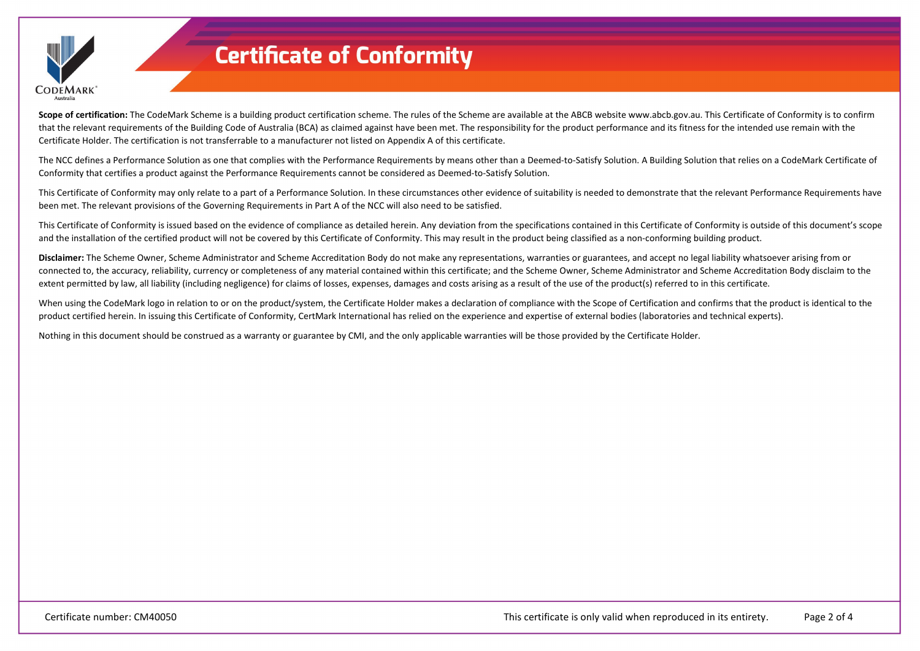

Scope of certification: The CodeMark Scheme is a building product certification scheme. The rules of the Scheme are available at the ABCB website www.abcb.gov.au. This Certificate of Conformity is to confirm that the relevant requirements of the Building Code of Australia (BCA) as claimed against have been met. The responsibility for the product performance and its fitness for the intended use remain with the Certificate Holder. The certification is not transferrable to a manufacturer not listed on Appendix A of this certificate.

The NCC defines a Performance Solution as one that complies with the Performance Requirements by means other than a Deemed-to-Satisfy Solution. A Building Solution that relies on a CodeMark Certificate of Conformity that certifies a product against the Performance Requirements cannot be considered as Deemed-to-Satisfy Solution.

This Certificate of Conformity may only relate to a part of a Performance Solution. In these circumstances other evidence of suitability is needed to demonstrate that the relevant Performance Requirements have been met. The relevant provisions of the Governing Requirements in Part A of the NCC will also need to be satisfied.

This Certificate of Conformity is issued based on the evidence of compliance as detailed herein. Any deviation from the specifications contained in this Certificate of Conformity is outside of this document's scope and the installation of the certified product will not be covered by this Certificate of Conformity. This may result in the product being classified as a non-conforming building product.

**Disclaimer:** The Scheme Owner, Scheme Administrator and Scheme Accreditation Body do not make any representations, warranties or guarantees, and accept no legal liability whatsoever arising from or connected to, the accuracy, reliability, currency or completeness of any material contained within this certificate; and the Scheme Owner, Scheme Administrator and Scheme Accreditation Body disclaim to the extent permitted by law, all liability (including negligence) for claims of losses, expenses, damages and costs arising as a result of the use of the product(s) referred to in this certificate.

When using the CodeMark logo in relation to or on the product/system, the Certificate Holder makes a declaration of compliance with the Scope of Certification and confirms that the product is identical to the product certified herein. In issuing this Certificate of Conformity, CertMark International has relied on the experience and expertise of external bodies (laboratories and technical experts).

Nothing in this document should be construed as a warranty or guarantee by CMI, and the only applicable warranties will be those provided by the Certificate Holder.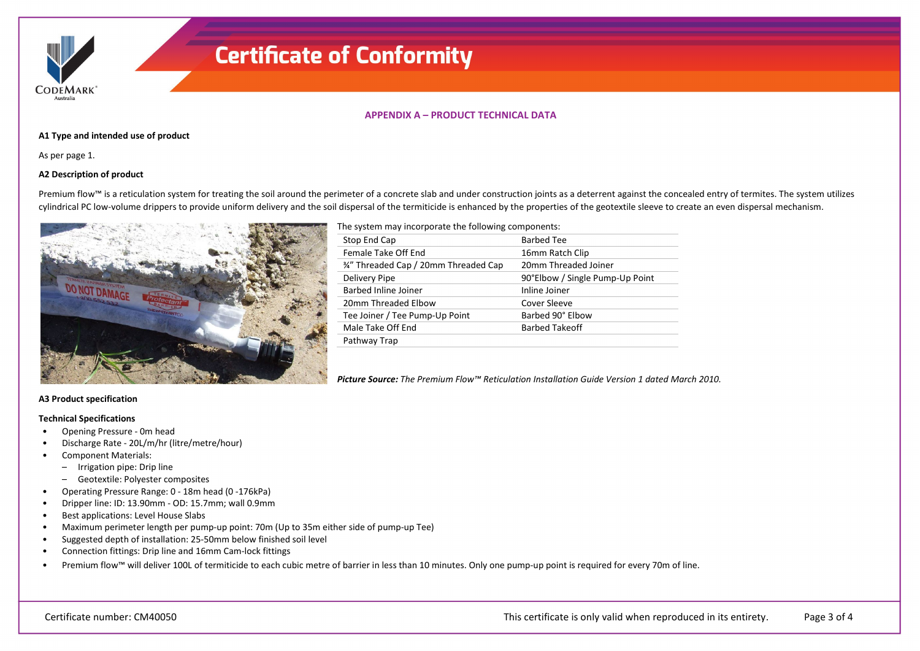**CODEMARK** 

## **APPENDIX A – PRODUCT TECHNICAL DATA**

### **A1 Type and intended use of product**

As per page 1.

### **A2 Description of product**

Premium flow™ is a reticulation system for treating the soil around the perimeter of a concrete slab and under construction joints as a deterrent against the concealed entry of termites. The system utilizes cylindrical PC low-volume drippers to provide uniform delivery and the soil dispersal of the termiticide is enhanced by the properties of the geotextile sleeve to create an even dispersal mechanism.



The system may incorporate the following components:

| Stop End Cap                          | <b>Barbed Tee</b>               |
|---------------------------------------|---------------------------------|
| Female Take Off End                   | 16mm Ratch Clip                 |
| 3⁄4" Threaded Cap / 20mm Threaded Cap | 20mm Threaded Joiner            |
| Delivery Pipe                         | 90°Elbow / Single Pump-Up Point |
| <b>Barbed Inline Joiner</b>           | Inline Joiner                   |
| 20mm Threaded Elbow                   | Cover Sleeve                    |
| Tee Joiner / Tee Pump-Up Point        | Barbed 90° Elbow                |
| Male Take Off End                     | <b>Barbed Takeoff</b>           |
| Pathway Trap                          |                                 |

*Picture Source: The Premium Flow™ Reticulation Installation Guide Version 1 dated March 2010.*

## **A3 Product specification**

### **Technical Specifications**

- Opening Pressure 0m head
- Discharge Rate 20L/m/hr (litre/metre/hour)
- Component Materials:
	- Irrigation pipe: Drip line
	- Geotextile: Polyester composites
- Operating Pressure Range: 0 18m head (0 -176kPa)
- Dripper line: ID: 13.90mm OD: 15.7mm; wall 0.9mm
- Best applications: Level House Slabs
- Maximum perimeter length per pump-up point: 70m (Up to 35m either side of pump-up Tee)
- Suggested depth of installation: 25-50mm below finished soil level
- Connection fittings: Drip line and 16mm Cam-lock fittings
- Premium flow™ will deliver 100L of termiticide to each cubic metre of barrier in less than 10 minutes. Only one pump-up point is required for every 70m of line.